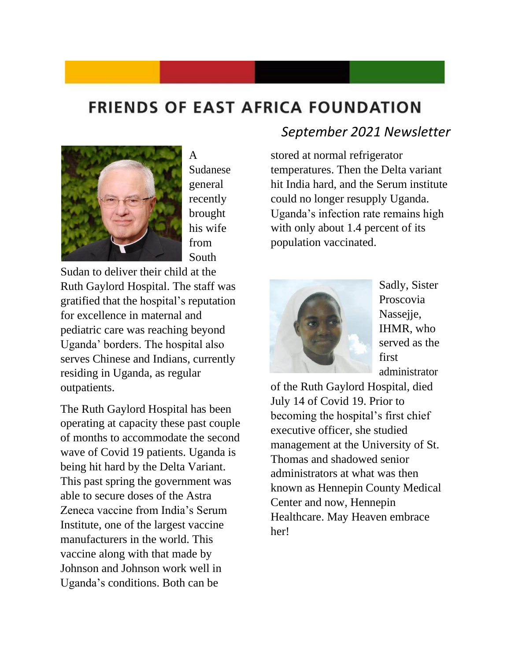## **FRIENDS OF EAST AFRICA FOUNDATION**



A Sudanese general recently brought his wife from South

Sudan to deliver their child at the Ruth Gaylord Hospital. The staff was gratified that the hospital's reputation for excellence in maternal and pediatric care was reaching beyond Uganda' borders. The hospital also serves Chinese and Indians, currently residing in Uganda, as regular outpatients.

The Ruth Gaylord Hospital has been operating at capacity these past couple of months to accommodate the second wave of Covid 19 patients. Uganda is being hit hard by the Delta Variant. This past spring the government was able to secure doses of the Astra Zeneca vaccine from India's Serum Institute, one of the largest vaccine manufacturers in the world. This vaccine along with that made by Johnson and Johnson work well in Uganda's conditions. Both can be

## *September 2021 Newsletter*

stored at normal refrigerator temperatures. Then the Delta variant hit India hard, and the Serum institute could no longer resupply Uganda. Uganda's infection rate remains high with only about 1.4 percent of its population vaccinated.



Sadly, Sister Proscovia Nassejie, IHMR, who served as the first administrator

of the Ruth Gaylord Hospital, died July 14 of Covid 19. Prior to becoming the hospital's first chief executive officer, she studied management at the University of St. Thomas and shadowed senior administrators at what was then known as Hennepin County Medical Center and now, Hennepin Healthcare. May Heaven embrace her!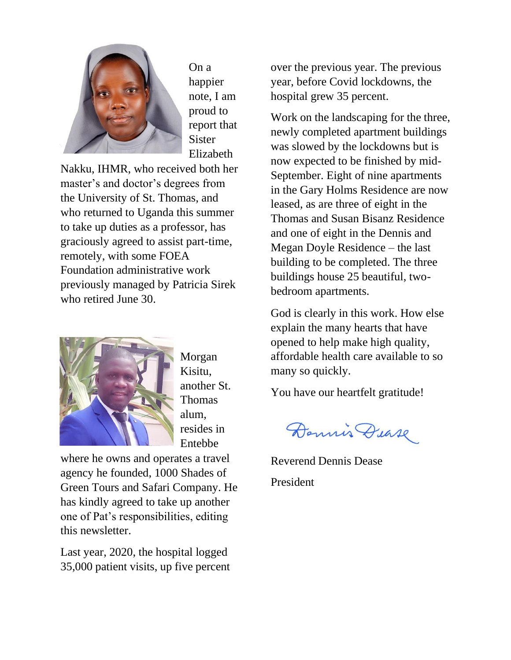

On a happier note, I am proud to report that **Sister** Elizabeth

Nakku, IHMR, who received both her master's and doctor's degrees from the University of St. Thomas, and who returned to Uganda this summer to take up duties as a professor, has graciously agreed to assist part-time, remotely, with some FOEA Foundation administrative work previously managed by Patricia Sirek who retired June 30.



Morgan Kisitu, another St. Thomas alum, resides in Entebbe

where he owns and operates a travel agency he founded, 1000 Shades of Green Tours and Safari Company. He has kindly agreed to take up another one of Pat's responsibilities, editing this newsletter.

Last year, 2020, the hospital logged 35,000 patient visits, up five percent over the previous year. The previous year, before Covid lockdowns, the hospital grew 35 percent.

Work on the landscaping for the three, newly completed apartment buildings was slowed by the lockdowns but is now expected to be finished by mid-September. Eight of nine apartments in the Gary Holms Residence are now leased, as are three of eight in the Thomas and Susan Bisanz Residence and one of eight in the Dennis and Megan Doyle Residence – the last building to be completed. The three buildings house 25 beautiful, twobedroom apartments.

God is clearly in this work. How else explain the many hearts that have opened to help make high quality, affordable health care available to so many so quickly.

You have our heartfelt gratitude!

Dennis Dease

Reverend Dennis Dease President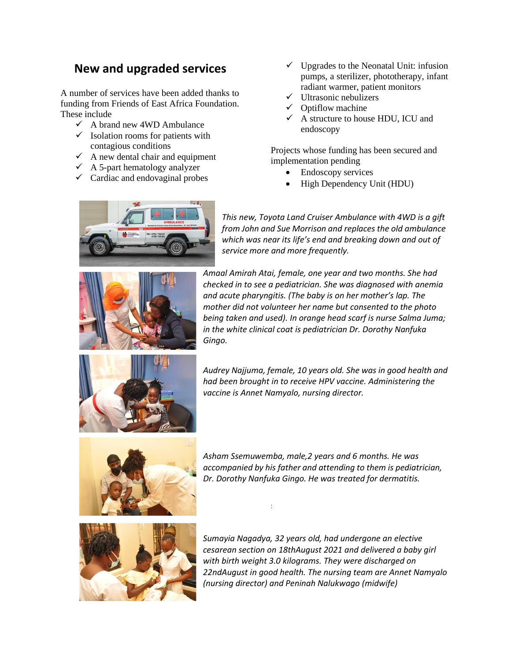## **New and upgraded services**

A number of services have been added thanks to funding from Friends of East Africa Foundation. These include

- $\checkmark$  A brand new 4WD Ambulance
- $\checkmark$  Isolation rooms for patients with contagious conditions
- $\checkmark$  A new dental chair and equipment
- $\overrightarrow{A}$  A 5-part hematology analyzer
- $\checkmark$  Cardiac and endovaginal probes
- $\checkmark$  Upgrades to the Neonatal Unit: infusion pumps, a sterilizer, phototherapy, infant radiant warmer, patient monitors
- $\checkmark$  Ultrasonic nebulizers
- Optiflow machine
- $\checkmark$  A structure to house HDU, ICU and endoscopy

Projects whose funding has been secured and implementation pending

- Endoscopy services
- High Dependency Unit (HDU)



*This new, Toyota Land Cruiser Ambulance with 4WD is a gift from John and Sue Morrison and replaces the old ambulance which was near its life's end and breaking down and out of service more and more frequently.*



*Amaal Amirah Atai, female, one year and two months. She had checked in to see a pediatrician. She was diagnosed with anemia and acute pharyngitis. (The baby is on her mother's lap. The mother did not volunteer her name but consented to the photo being taken and used). In orange head scarf is nurse Salma Juma; in the white clinical coat is pediatrician Dr. Dorothy Nanfuka Gingo.*



*Audrey Najjuma, female, 10 years old. She was in good health and had been brought in to receive HPV vaccine. Administering the vaccine is Annet Namyalo, nursing director.*



*Asham Ssemuwemba, male,2 years and 6 months. He was accompanied by his father and attending to them is pediatrician, Dr. Dorothy Nanfuka Gingo. He was treated for dermatitis.*

:



*Sumayia Nagadya, 32 years old, had undergone an elective cesarean section on 18thAugust 2021 and delivered a baby girl with birth weight 3.0 kilograms. They were discharged on 22ndAugust in good health. The nursing team are Annet Namyalo (nursing director) and Peninah Nalukwago (midwife)*